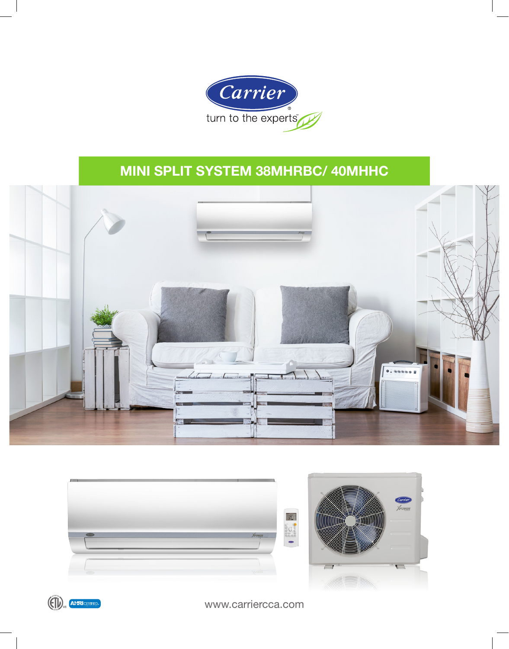

# MINI SPLIT SYSTEM 38MHRBC/ 40MHHC









www.carriercca.com